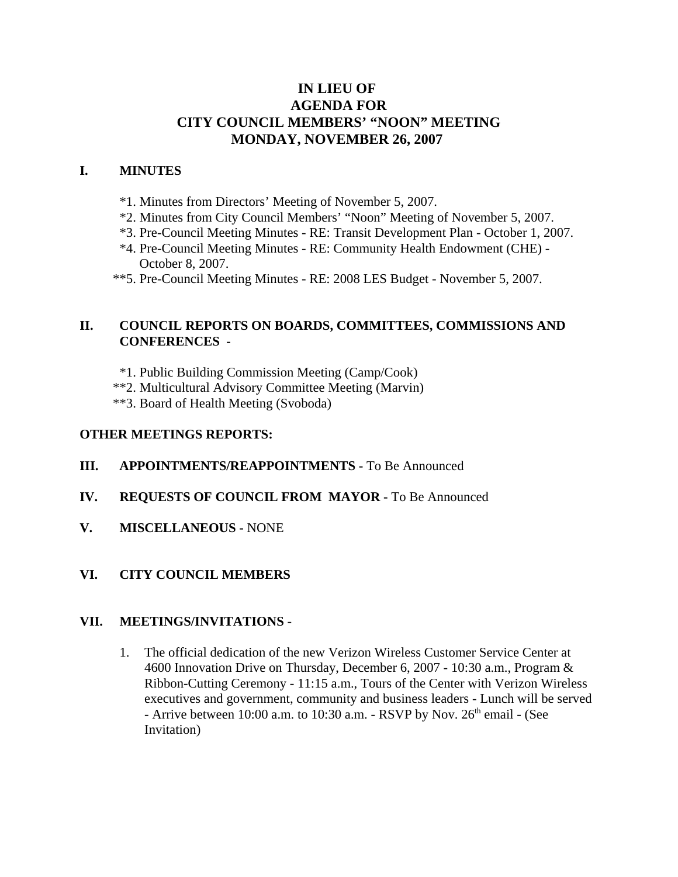# **IN LIEU OF AGENDA FOR CITY COUNCIL MEMBERS' "NOON" MEETING MONDAY, NOVEMBER 26, 2007**

# **I. MINUTES**

- \*1. Minutes from Directors' Meeting of November 5, 2007.
- \*2. Minutes from City Council Members' "Noon" Meeting of November 5, 2007.
- \*3. Pre-Council Meeting Minutes RE: Transit Development Plan October 1, 2007.
- \*4. Pre-Council Meeting Minutes RE: Community Health Endowment (CHE) October 8, 2007.
- \*\*5. Pre-Council Meeting Minutes RE: 2008 LES Budget November 5, 2007.

# **II. COUNCIL REPORTS ON BOARDS, COMMITTEES, COMMISSIONS AND CONFERENCES -**

- \*1. Public Building Commission Meeting (Camp/Cook)
- \*\*2. Multicultural Advisory Committee Meeting (Marvin)
- \*\*3. Board of Health Meeting (Svoboda)

## **OTHER MEETINGS REPORTS:**

- **III.** APPOINTMENTS/REAPPOINTMENTS To Be Announced
- **IV. REQUESTS OF COUNCIL FROM MAYOR -** To Be Announced
- **V. MISCELLANEOUS -** NONE
- **VI. CITY COUNCIL MEMBERS**

# **VII. MEETINGS/INVITATIONS** -

1. The official dedication of the new Verizon Wireless Customer Service Center at 4600 Innovation Drive on Thursday, December 6, 2007 - 10:30 a.m., Program & Ribbon-Cutting Ceremony - 11:15 a.m., Tours of the Center with Verizon Wireless executives and government, community and business leaders - Lunch will be served - Arrive between 10:00 a.m. to 10:30 a.m. - RSVP by Nov.  $26<sup>th</sup>$  email - (See Invitation)